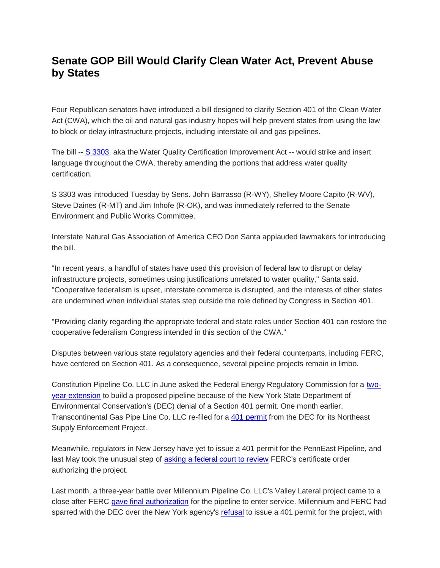## **Senate GOP Bill Would Clarify Clean Water Act, Prevent Abuse by States**

Four Republican senators have introduced a bill designed to clarify Section 401 of the Clean Water Act (CWA), which the oil and natural gas industry hopes will help prevent states from using the law to block or delay infrastructure projects, including interstate oil and gas pipelines.

The bill -- [S 3303,](https://www.epw.senate.gov/public/_cache/files/9/2/92a00eb1-7b0a-4355-bcda-2bdf8782f2db/5DEE83B7F54D4BB93D93260E24C8EBB7.water-quality-certification-improvement-act-of-2018.pdf) aka the Water Quality Certification Improvement Act -- would strike and insert language throughout the CWA, thereby amending the portions that address water quality certification.

S 3303 was introduced Tuesday by Sens. John Barrasso (R-WY), Shelley Moore Capito (R-WV), Steve Daines (R-MT) and Jim Inhofe (R-OK), and was immediately referred to the Senate Environment and Public Works Committee.

Interstate Natural Gas Association of America CEO Don Santa applauded lawmakers for introducing the bill.

"In recent years, a handful of states have used this provision of federal law to disrupt or delay infrastructure projects, sometimes using justifications unrelated to water quality," Santa said. "Cooperative federalism is upset, interstate commerce is disrupted, and the interests of other states are undermined when individual states step outside the role defined by Congress in Section 401.

"Providing clarity regarding the appropriate federal and state roles under Section 401 can restore the cooperative federalism Congress intended in this section of the CWA."

Disputes between various state regulatory agencies and their federal counterparts, including FERC, have centered on Section 401. As a consequence, several pipeline projects remain in limbo.

Constitution Pipeline Co. LLC in June asked the Federal Energy Regulatory Commission for a [two](http://www.naturalgasintel.com/articles/114838-still-searching-for-new-york-water-permit-constitution-pipeline-delays-completion-until-2020)[year extension](http://www.naturalgasintel.com/articles/114838-still-searching-for-new-york-water-permit-constitution-pipeline-delays-completion-until-2020) to build a proposed pipeline because of the New York State Department of Environmental Conservation's (DEC) denial of a Section 401 permit. One month earlier, Transcontinental Gas Pipe Line Co. LLC re-filed for a [401 permit](http://www.naturalgasintel.com/articles/114403-transco-expansion-refiled-as-williams-tries-again-for-water-certification-in-new-york) from the DEC for its Northeast Supply Enforcement Project.

Meanwhile, regulators in New Jersey have yet to issue a 401 permit for the PennEast Pipeline, and last May took the unusual step of [asking a federal court to review](http://www.naturalgasintel.com/articles/114464-new-jersey-files-another-challenge-to-penneast-pipeline) FERC's certificate order authorizing the project.

Last month, a three-year battle over Millennium Pipeline Co. LLC's Valley Lateral project came to a close after FERC [gave final authorization](http://www.naturalgasintel.com/articles/115006-ferc-approves-startup-of-valley-lateral-ending-years-long-dispute) for the pipeline to enter service. Millennium and FERC had sparred with the DEC over the New York agency's [refusal](http://www.naturalgasintel.com/articles/111582-new-york-shuts-down-millennium-natgas-project-blames-ferc) to issue a 401 permit for the project, with